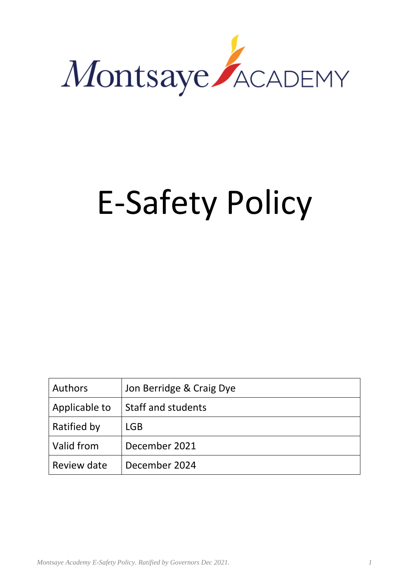

# E-Safety Policy

| <b>Authors</b> | Jon Berridge & Craig Dye |
|----------------|--------------------------|
| Applicable to  | Staff and students       |
| Ratified by    | <b>LGB</b>               |
| Valid from     | December 2021            |
| Review date    | December 2024            |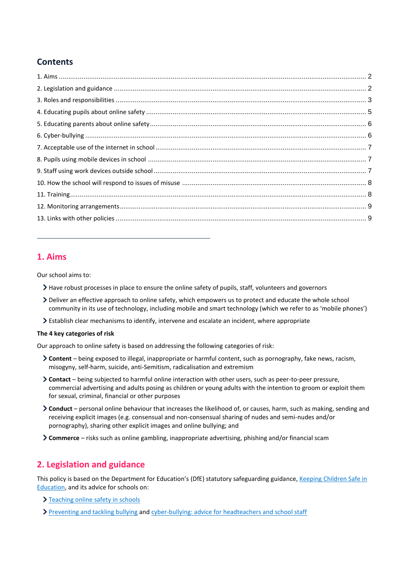# **Contents**

# <span id="page-1-0"></span>**1. Aims**

Our school aims to:

- Have robust processes in place to ensure the online safety of pupils, staff, volunteers and governors
- Deliver an effective approach to online safety, which empowers us to protect and educate the whole school community in its use of technology, including mobile and smart technology (which we refer to as 'mobile phones')
- Establish clear mechanisms to identify, intervene and escalate an incident, where appropriate

## **The 4 key categories of risk**

Our approach to online safety is based on addressing the following categories of risk:

- **Content** being exposed to illegal, inappropriate or harmful content, such as pornography, fake news, racism, misogyny, self-harm, suicide, anti-Semitism, radicalisation and extremism
- **Contact** being subjected to harmful online interaction with other users, such as peer-to-peer pressure, commercial advertising and adults posing as children or young adults with the intention to groom or exploit them for sexual, criminal, financial or other purposes
- **Conduct** personal online behaviour that increases the likelihood of, or causes, harm, such as making, sending and receiving explicit images (e.g. consensual and non-consensual sharing of nudes and semi-nudes and/or pornography), sharing other explicit images and online bullying; and
- **Commerce** risks such as online gambling, inappropriate advertising, phishing and/or financial scam

# <span id="page-1-1"></span>**2. Legislation and guidance**

This policy is based on the Department for Education's (DfE) statutory safeguarding guidance, Keeping Children Safe in [Education,](https://www.gov.uk/government/publications/keeping-children-safe-in-education--2) and its advice for schools on:

- > [Teaching online safety in schools](https://www.gov.uk/government/publications/teaching-online-safety-in-schools)
- [Preventing and tackling bullying](https://www.gov.uk/government/publications/preventing-and-tackling-bullying) and [cyber-bullying: advice for headteachers and school staff](https://www.gov.uk/government/publications/preventing-and-tackling-bullying)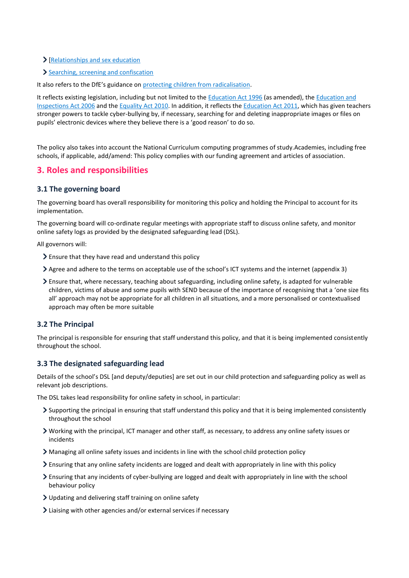- [\[Relationships and sex education](https://www.gov.uk/government/publications/relationships-education-relationships-and-sex-education-rse-and-health-education)
- > [Searching, screening and confiscation](https://www.gov.uk/government/publications/searching-screening-and-confiscation)

It also refers to the DfE's guidance on [protecting children from radicalisation.](https://www.gov.uk/government/publications/protecting-children-from-radicalisation-the-prevent-duty)

It reflects existing legislation, including but not limited to the [Education Act 1996](https://www.legislation.gov.uk/ukpga/1996/56/contents) (as amended), the Education and [Inspections Act 2006](https://www.legislation.gov.uk/ukpga/2006/40/contents) and the [Equality Act 2010.](https://www.legislation.gov.uk/ukpga/2010/15/contents) In addition, it reflects the [Education Act 2011,](http://www.legislation.gov.uk/ukpga/2011/21/contents/enacted) which has given teachers stronger powers to tackle cyber-bullying by, if necessary, searching for and deleting inappropriate images or files on pupils' electronic devices where they believe there is a 'good reason' to do so.

The policy also takes into account the National Curriculum computing programmes of study.Academies, including free schools, if applicable, add/amend: This policy complies with our funding agreement and articles of association.

## <span id="page-2-0"></span>**3. Roles and responsibilities**

## **3.1 The governing board**

The governing board has overall responsibility for monitoring this policy and holding the Principal to account for its implementation.

The governing board will co-ordinate regular meetings with appropriate staff to discuss online safety, and monitor online safety logs as provided by the designated safeguarding lead (DSL).

All governors will:

- Ensure that they have read and understand this policy
- Agree and adhere to the terms on acceptable use of the school's ICT systems and the internet (appendix 3)
- Ensure that, where necessary, teaching about safeguarding, including online safety, is adapted for vulnerable children, victims of abuse and some pupils with SEND because of the importance of recognising that a 'one size fits all' approach may not be appropriate for all children in all situations, and a more personalised or contextualised approach may often be more suitable

## **3.2 The Principal**

The principal is responsible for ensuring that staff understand this policy, and that it is being implemented consistently throughout the school.

## **3.3 The designated safeguarding lead**

Details of the school's DSL [and deputy/deputies] are set out in our child protection and safeguarding policy as well as relevant job descriptions.

The DSL takes lead responsibility for online safety in school, in particular:

- $\sum$  Supporting the principal in ensuring that staff understand this policy and that it is being implemented consistently throughout the school
- Working with the principal, ICT manager and other staff, as necessary, to address any online safety issues or incidents
- Managing all online safety issues and incidents in line with the school child protection policy
- Ensuring that any online safety incidents are logged and dealt with appropriately in line with this policy
- Ensuring that any incidents of cyber-bullying are logged and dealt with appropriately in line with the school behaviour policy
- Updating and delivering staff training on online safety
- Liaising with other agencies and/or external services if necessary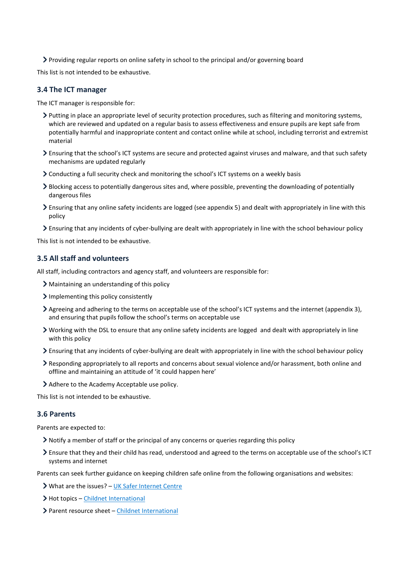Providing regular reports on online safety in school to the principal and/or governing board

This list is not intended to be exhaustive.

#### **3.4 The ICT manager**

The ICT manager is responsible for:

- Putting in place an appropriate level of security protection procedures, such as filtering and monitoring systems, which are reviewed and updated on a regular basis to assess effectiveness and ensure pupils are kept safe from potentially harmful and inappropriate content and contact online while at school, including terrorist and extremist material
- Ensuring that the school's ICT systems are secure and protected against viruses and malware, and that such safety mechanisms are updated regularly
- Conducting a full security check and monitoring the school's ICT systems on a weekly basis
- Blocking access to potentially dangerous sites and, where possible, preventing the downloading of potentially dangerous files
- Ensuring that any online safety incidents are logged (see appendix 5) and dealt with appropriately in line with this policy
- Ensuring that any incidents of cyber-bullying are dealt with appropriately in line with the school behaviour policy

This list is not intended to be exhaustive.

#### **3.5 All staff and volunteers**

All staff, including contractors and agency staff, and volunteers are responsible for:

- Maintaining an understanding of this policy
- > Implementing this policy consistently
- Agreeing and adhering to the terms on acceptable use of the school's ICT systems and the internet (appendix 3), and ensuring that pupils follow the school's terms on acceptable use
- Working with the DSL to ensure that any online safety incidents are logged and dealt with appropriately in line with this policy
- Ensuring that any incidents of cyber-bullying are dealt with appropriately in line with the school behaviour policy
- Responding appropriately to all reports and concerns about sexual violence and/or harassment, both online and offline and maintaining an attitude of 'it could happen here'
- Adhere to the Academy Acceptable use policy.

This list is not intended to be exhaustive.

#### **3.6 Parents**

Parents are expected to:

- Notify a member of staff or the principal of any concerns or queries regarding this policy
- Ensure that they and their child has read, understood and agreed to the terms on acceptable use of the school's ICT systems and internet

Parents can seek further guidance on keeping children safe online from the following organisations and websites:

- What are the issues? [UK Safer Internet Centre](https://www.saferinternet.org.uk/advice-centre/parents-and-carers/what-are-issues)
- > Hot topics [Childnet International](http://www.childnet.com/parents-and-carers/hot-topics)
- > Parent resource sheet [Childnet International](https://www.childnet.com/resources/parents-and-carers-resource-sheet)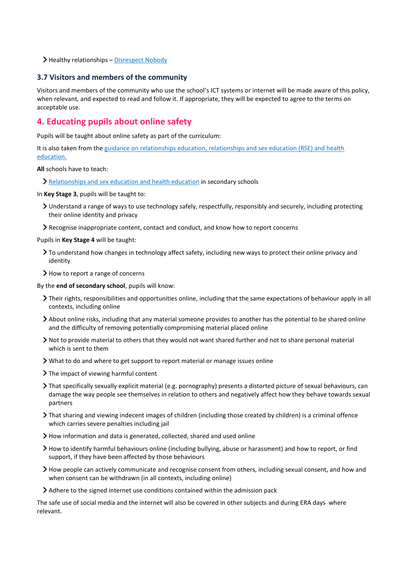Healthy relationships – [Disrespect Nobody](https://www.disrespectnobody.co.uk/)

#### **3.7 Visitors and members of the community**

Visitors and members of the community who use the school's ICT systems or internet will be made aware of this policy, when relevant, and expected to read and follow it. If appropriate, they will be expected to agree to the terms on acceptable use.

## <span id="page-4-0"></span>**4. Educating pupils about online safety**

Pupils will be taught about online safety as part of the curriculum:

It is also taken from the [guidance on relationships education, relationships and sex education \(RSE\) and health](https://www.gov.uk/government/publications/relationships-education-relationships-and-sex-education-rse-and-health-education)  [education.](https://www.gov.uk/government/publications/relationships-education-relationships-and-sex-education-rse-and-health-education)

**All** schools have to teach:

[Relationships and sex education and health education](https://schoolleaders.thekeysupport.com/uid/66a1d83e-2fb9-411e-91f1-fe52a09d16d1/) in secondary schools

In **Key Stage 3**, pupils will be taught to:

- Understand a range of ways to use technology safely, respectfully, responsibly and securely, including protecting their online identity and privacy
- Recognise inappropriate content, contact and conduct, and know how to report concerns

Pupils in **Key Stage 4** will be taught:

- To understand how changes in technology affect safety, including new ways to protect their online privacy and identity
- > How to report a range of concerns

By the **end of secondary school**, pupils will know:

- Their rights, responsibilities and opportunities online, including that the same expectations of behaviour apply in all contexts, including online
- About online risks, including that any material someone provides to another has the potential to be shared online and the difficulty of removing potentially compromising material placed online
- Not to provide material to others that they would not want shared further and not to share personal material which is sent to them
- What to do and where to get support to report material or manage issues online
- $\sum$  The impact of viewing harmful content
- That specifically sexually explicit material (e.g. pornography) presents a distorted picture of sexual behaviours, can damage the way people see themselves in relation to others and negatively affect how they behave towards sexual partners
- That sharing and viewing indecent images of children (including those created by children) is a criminal offence which carries severe penalties including jail
- How information and data is generated, collected, shared and used online
- How to identify harmful behaviours online (including bullying, abuse or harassment) and how to report, or find support, if they have been affected by those behaviours
- How people can actively communicate and recognise consent from others, including sexual consent, and how and when consent can be withdrawn (in all contexts, including online)
- Adhere to the signed internet use conditions contained within the admission pack

The safe use of social media and the internet will also be covered in other subjects and during ERA days where relevant.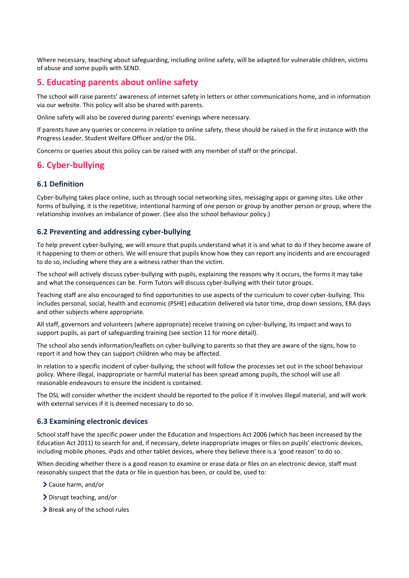Where necessary, teaching about safeguarding, including online safety, will be adapted for vulnerable children, victims of abuse and some pupils with SEND.

## <span id="page-5-0"></span>**5. Educating parents about online safety**

The school will raise parents' awareness of internet safety in letters or other communications home, and in information via our website. This policy will also be shared with parents.

Online safety will also be covered during parents' evenings where necessary.

If parents have any queries or concerns in relation to online safety, these should be raised in the first instance with the Progress Leader, Student Welfare Officer and/or the DSL.

Concerns or queries about this policy can be raised with any member of staff or the principal.

## <span id="page-5-1"></span>**6. Cyber-bullying**

## **6.1 Definition**

Cyber-bullying takes place online, such as through social networking sites, messaging apps or gaming sites. Like other forms of bullying, it is the repetitive, intentional harming of one person or group by another person or group, where the relationship involves an imbalance of power. (See also the school behaviour policy.)

#### **6.2 Preventing and addressing cyber-bullying**

To help prevent cyber-bullying, we will ensure that pupils understand what it is and what to do if they become aware of it happening to them or others. We will ensure that pupils know how they can report any incidents and are encouraged to do so, including where they are a witness rather than the victim.

The school will actively discuss cyber-bullying with pupils, explaining the reasons why it occurs, the forms it may take and what the consequences can be. Form Tutors will discuss cyber-bullying with their tutor groups.

Teaching staff are also encouraged to find opportunities to use aspects of the curriculum to cover cyber-bullying. This includes personal, social, health and economic (PSHE) education delivered via tutor time, drop down sessions, ERA days and other subjects where appropriate.

All staff, governors and volunteers (where appropriate) receive training on cyber-bullying, its impact and ways to support pupils, as part of safeguarding training (see section 11 for more detail).

The school also sends information/leaflets on cyber-bullying to parents so that they are aware of the signs, how to report it and how they can support children who may be affected.

In relation to a specific incident of cyber-bullying, the school will follow the processes set out in the school behaviour policy. Where illegal, inappropriate or harmful material has been spread among pupils, the school will use all reasonable endeavours to ensure the incident is contained.

The DSL will consider whether the incident should be reported to the police if it involves illegal material, and will work with external services if it is deemed necessary to do so.

#### **6.3 Examining electronic devices**

School staff have the specific power under the Education and Inspections Act 2006 (which has been increased by the Education Act 2011) to search for and, if necessary, delete inappropriate images or files on pupils' electronic devices, including mobile phones, iPads and other tablet devices, where they believe there is a 'good reason' to do so.

When deciding whether there is a good reason to examine or erase data or files on an electronic device, staff must reasonably suspect that the data or file in question has been, or could be, used to:

- Cause harm, and/or
- Disrupt teaching, and/or
- > Break any of the school rules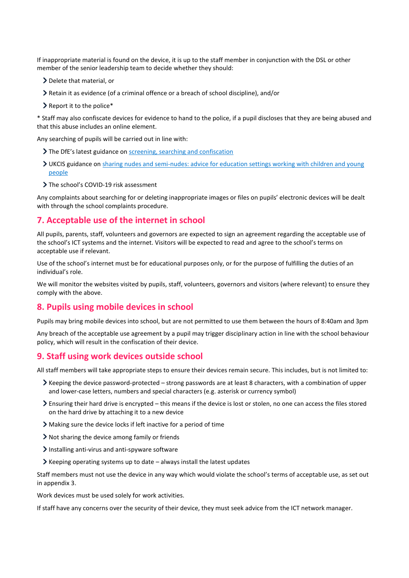If inappropriate material is found on the device, it is up to the staff member in conjunction with the DSL or other member of the senior leadership team to decide whether they should:

- > Delete that material, or
- Retain it as evidence (of a criminal offence or a breach of school discipline), and/or
- $\geq$  Report it to the police\*

\* Staff may also confiscate devices for evidence to hand to the police, if a pupil discloses that they are being abused and that this abuse includes an online element.

Any searching of pupils will be carried out in line with:

- If The DfE's latest guidance on [screening, searching and confiscation](https://www.gov.uk/government/publications/searching-screening-and-confiscation)
- UKCIS guidance on [sharing nudes and semi-nudes: advice for education settings working with children and young](https://www.gov.uk/government/publications/sharing-nudes-and-semi-nudes-advice-for-education-settings-working-with-children-and-young-people)  [people](https://www.gov.uk/government/publications/sharing-nudes-and-semi-nudes-advice-for-education-settings-working-with-children-and-young-people)
- > The school's COVID-19 risk assessment

Any complaints about searching for or deleting inappropriate images or files on pupils' electronic devices will be dealt with through the school complaints procedure.

## <span id="page-6-0"></span>**7. Acceptable use of the internet in school**

All pupils, parents, staff, volunteers and governors are expected to sign an agreement regarding the acceptable use of the school's ICT systems and the internet. Visitors will be expected to read and agree to the school's terms on acceptable use if relevant.

Use of the school's internet must be for educational purposes only, or for the purpose of fulfilling the duties of an individual's role.

We will monitor the websites visited by pupils, staff, volunteers, governors and visitors (where relevant) to ensure they comply with the above.

## <span id="page-6-1"></span>**8. Pupils using mobile devices in school**

Pupils may bring mobile devices into school, but are not permitted to use them between the hours of 8:40am and 3pm

Any breach of the acceptable use agreement by a pupil may trigger disciplinary action in line with the school behaviour policy, which will result in the confiscation of their device.

## <span id="page-6-2"></span>**9. Staff using work devices outside school**

All staff members will take appropriate steps to ensure their devices remain secure. This includes, but is not limited to:

- Keeping the device password-protected strong passwords are at least 8 characters, with a combination of upper and lower-case letters, numbers and special characters (e.g. asterisk or currency symbol)
- Ensuring their hard drive is encrypted this means if the device is lost or stolen, no one can access the files stored on the hard drive by attaching it to a new device
- Making sure the device locks if left inactive for a period of time
- Not sharing the device among family or friends
- $\sum$  Installing anti-virus and anti-spyware software
- $\blacktriangleright$  Keeping operating systems up to date always install the latest updates

Staff members must not use the device in any way which would violate the school's terms of acceptable use, as set out in appendix 3.

Work devices must be used solely for work activities.

If staff have any concerns over the security of their device, they must seek advice from the ICT network manager.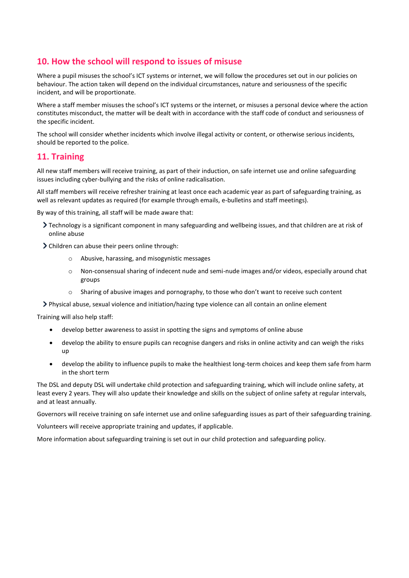# <span id="page-7-0"></span>**10. How the school will respond to issues of misuse**

Where a pupil misuses the school's ICT systems or internet, we will follow the procedures set out in our policies on behaviour. The action taken will depend on the individual circumstances, nature and seriousness of the specific incident, and will be proportionate.

Where a staff member misuses the school's ICT systems or the internet, or misuses a personal device where the action constitutes misconduct, the matter will be dealt with in accordance with the staff code of conduct and seriousness of the specific incident.

The school will consider whether incidents which involve illegal activity or content, or otherwise serious incidents, should be reported to the police.

## <span id="page-7-1"></span>**11. Training**

All new staff members will receive training, as part of their induction, on safe internet use and online safeguarding issues including cyber-bullying and the risks of online radicalisation.

All staff members will receive refresher training at least once each academic year as part of safeguarding training, as well as relevant updates as required (for example through emails, e-bulletins and staff meetings).

By way of this training, all staff will be made aware that:

- Technology is a significant component in many safeguarding and wellbeing issues, and that children are at risk of online abuse
- Children can abuse their peers online through:
	- o Abusive, harassing, and misogynistic messages
	- o Non-consensual sharing of indecent nude and semi-nude images and/or videos, especially around chat groups
	- Sharing of abusive images and pornography, to those who don't want to receive such content
- Physical abuse, sexual violence and initiation/hazing type violence can all contain an online element

Training will also help staff:

- develop better awareness to assist in spotting the signs and symptoms of online abuse
- develop the ability to ensure pupils can recognise dangers and risks in online activity and can weigh the risks up
- develop the ability to influence pupils to make the healthiest long-term choices and keep them safe from harm in the short term

The DSL and deputy DSL will undertake child protection and safeguarding training, which will include online safety, at least every 2 years. They will also update their knowledge and skills on the subject of online safety at regular intervals, and at least annually.

Governors will receive training on safe internet use and online safeguarding issues as part of their safeguarding training.

Volunteers will receive appropriate training and updates, if applicable.

More information about safeguarding training is set out in our child protection and safeguarding policy.